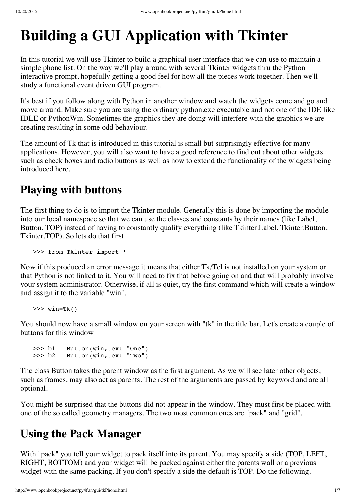# **Building a GUI Application with Tkinter**

In this tutorial we will use Tkinter to build a graphical user interface that we can use to maintain a simple phone list. On the way we'll play around with several Tkinter widgets thru the Python interactive prompt, hopefully getting a good feel for how all the pieces work together. Then we'll study a functional event driven GUI program.

It's best if you follow along with Python in another window and watch the widgets come and go and move around. Make sure you are using the ordinary python.exe executable and not one of the IDE like IDLE or PythonWin. Sometimes the graphics they are doing will interfere with the graphics we are creating resulting in some odd behaviour.

The amount of Tk that is introduced in this tutorial is small but surprisingly effective for many applications. However, you will also want to have a good reference to find out about other widgets such as check boxes and radio buttons as well as how to extend the functionality of the widgets being introduced here.

### **Playing with buttons**

The first thing to do is to import the Tkinter module. Generally this is done by importing the module into our local namespace so that we can use the classes and constants by their names (like Label, Button, TOP) instead of having to constantly qualify everything (like Tkinter.Label, Tkinter.Button, Tkinter.TOP). So lets do that first.

>>> from Tkinter import \*

Now if this produced an error message it means that either Tk/Tcl is not installed on your system or that Python is not linked to it. You will need to fix that before going on and that will probably involve your system administrator. Otherwise, if all is quiet, try the first command which will create a window and assign it to the variable "win".

 $\gg$  win=Tk()

You should now have a small window on your screen with "tk" in the title bar. Let's create a couple of buttons for this window

```
>>> b1 = Button(win, text="One")
>>> b2 = Button(win,text="Two")
```
The class Button takes the parent window as the first argument. As we will see later other objects, such as frames, may also act as parents. The rest of the arguments are passed by keyword and are all optional.

You might be surprised that the buttons did not appear in the window. They must first be placed with one of the so called geometry managers. The two most common ones are "pack" and "grid".

#### **Using the Pack Manager**

With "pack" you tell your widget to pack itself into its parent. You may specify a side (TOP, LEFT, RIGHT, BOTTOM) and your widget will be packed against either the parents wall or a previous widget with the same packing. If you don't specify a side the default is TOP. Do the following.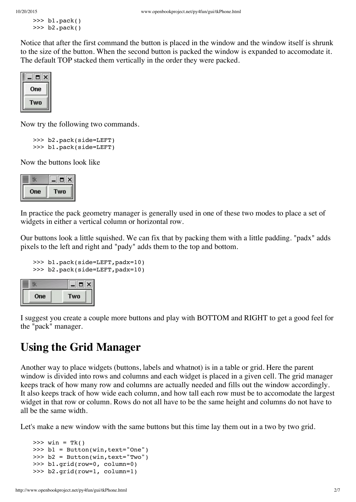```
>>> b1.pack()
>>> b2.pack()
```
Notice that after the first command the button is placed in the window and the window itself is shrunk to the size of the button. When the second button is packed the window is expanded to accomodate it. The default TOP stacked them vertically in the order they were packed.



Now try the following two commands.

```
>>> b2.pack(side=LEFT)
>>> b1.pack(side=LEFT)
```
Now the buttons look like

| One | wo |
|-----|----|

In practice the pack geometry manager is generally used in one of these two modes to place a set of widgets in either a vertical column or horizontal row.

Our buttons look a little squished. We can fix that by packing them with a little padding. "padx" adds pixels to the left and right and "pady" adds them to the top and bottom.

```
>>> b1.pack(side=LEFT,padx=10)
>>> b2.pack(side=LEFT,padx=10)
```

| One | wo |
|-----|----|

I suggest you create a couple more buttons and play with BOTTOM and RIGHT to get a good feel for the "pack" manager.

#### **Using the Grid Manager**

Another way to place widgets (buttons, labels and whatnot) is in a table or grid. Here the parent window is divided into rows and columns and each widget is placed in a given cell. The grid manager keeps track of how many row and columns are actually needed and fills out the window accordingly. It also keeps track of how wide each column, and how tall each row must be to accomodate the largest widget in that row or column. Rows do not all have to be the same height and columns do not have to all be the same width.

Let's make a new window with the same buttons but this time lay them out in a two by two grid.

```
\gg win = Tk()
>>> b1 = Button(win,text="One")
>>> b2 = Button(win,text="Two")
>>> b1.grid(row=0, column=0)
>>> b2.grid(row=1, column=1)
```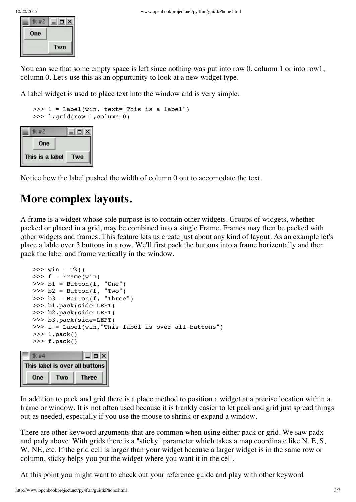| One |     |
|-----|-----|
|     | Two |

You can see that some empty space is left since nothing was put into row 0, column 1 or into row1, column 0. Let's use this as an oppurtunity to look at a new widget type.

A label widget is used to place text into the window and is very simple.

```
\gg 1 = Label(win, text="This is a label")
>>> l.grid(row=1,column=0)
```

| tk #2           | $\Box$ |
|-----------------|--------|
| One             |        |
| This is a label | Two    |

Notice how the label pushed the width of column 0 out to accomodate the text.

#### **More complex layouts.**

A frame is a widget whose sole purpose is to contain other widgets. Groups of widgets, whether packed or placed in a grid, may be combined into a single Frame. Frames may then be packed with other widgets and frames. This feature lets us create just about any kind of layout. As an example let's place a lable over 3 buttons in a row. We'll first pack the buttons into a frame horizontally and then pack the label and frame vertically in the window.

```
\gg win = Tk()
   \gg f = Frame(win)
   \gg b1 = Button(f, "One")
   \Rightarrow b2 = Button(f, "Two")
   >>> b3 = Button(f, "Three")
   >>> b1.pack(side=LEFT)
   >>> b2.pack(side=LEFT)
   >>> b3.pack(side=LEFT)
   \gg 1 = Label(win, "This label is over all buttons")
   >>> l.pack()
   >>> f.pack()
                Total Street
= 60
```

|     |     | This label is over all buttons |
|-----|-----|--------------------------------|
| One | Two | <b>Three</b>                   |

In addition to pack and grid there is a place method to position a widget at a precise location within a frame or window. It is not often used because it is frankly easier to let pack and grid just spread things out as needed, especially if you use the mouse to shrink or expand a window.

There are other keyword arguments that are common when using either pack or grid. We saw padx and pady above. With grids there is a "sticky" parameter which takes a map coordinate like N, E, S, W, NE, etc. If the grid cell is larger than your widget because a larger widget is in the same row or column, sticky helps you put the widget where you want it in the cell.

At this point you might want to check out your reference guide and play with other keyword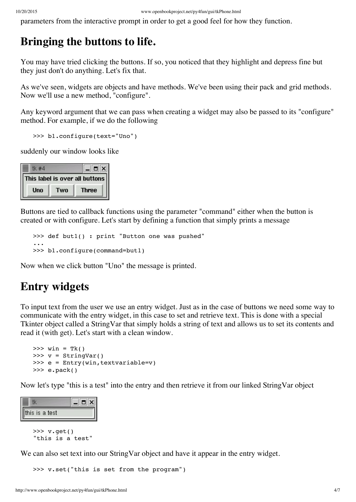parameters from the interactive prompt in order to get a good feel for how they function.

#### **Bringing the buttons to life.**

You may have tried clicking the buttons. If so, you noticed that they highlight and depress fine but they just don't do anything. Let's fix that.

As we've seen, widgets are objects and have methods. We've been using their pack and grid methods. Now we'll use a new method, "configure".

Any keyword argument that we can pass when creating a widget may also be passed to its "configure" method. For example, if we do the following

```
>>> b1.configure(text="Uno")
```
suddenly our window looks like

| ie, |     | $\blacksquare$                 |
|-----|-----|--------------------------------|
|     |     | This label is over all buttons |
| Uno | Two | <b>Three</b>                   |
|     |     |                                |

Buttons are tied to callback functions using the parameter "command" either when the button is created or with configure. Let's start by defining a function that simply prints a message

```
>>> def but1() : print "Button one was pushed"
...
>>> b1.configure(command=but1)
```
Now when we click button "Uno" the message is printed.

#### **Entry widgets**

To input text from the user we use an entry widget. Just as in the case of buttons we need some way to communicate with the entry widget, in this case to set and retrieve text. This is done with a special Tkinter object called a StringVar that simply holds a string of text and allows us to set its contents and read it (with get). Let's start with a clean window.

```
\gg win = Tk()
\gg v = StringVar()
>>> e = Entry(win, textvariable=v)
\gg e.pack()
```
Now let's type "this is a test" into the entry and then retrieve it from our linked StringVar object

| his is a test |  |
|---------------|--|

>>> v.get() "this is a test"

We can also set text into our StringVar object and have it appear in the entry widget.

>>> v.set("this is set from the program")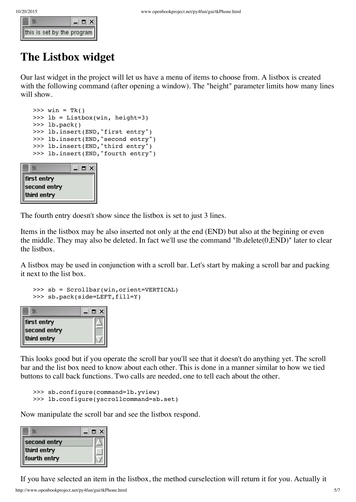|                                                                                                                                                                                                                                                                                                  | $  \mathbf{z}$ |
|--------------------------------------------------------------------------------------------------------------------------------------------------------------------------------------------------------------------------------------------------------------------------------------------------|----------------|
| $\begin{array}{ c c c }\hline \hline \hline \multicolumn{1}{ c }{\mathbb{E}} & \multicolumn{1}{ c }{\mathbb{I}} & \multicolumn{1}{ c }{\mathbb{I}} & \multicolumn{1}{ c }{\mathbb{I}} \\ \hline \hline \hline \hline \multicolumn{1}{ c }{\text{this is set by the program}} \hline \end{array}$ |                |

#### **The Listbox widget**

Our last widget in the project will let us have a menu of items to choose from. A listbox is created with the following command (after opening a window). The "height" parameter limits how many lines will show.

```
\gg win = Tk()
>>> lb = Listbox(win, height=3)
>>> lb.pack()
>>> lb.insert(END,"first entry")
>>> lb.insert(END,"second entry")
>>> lb.insert(END,"third entry")
>>> lb.insert(END,"fourth entry")
```

| Ē            | $\Box$ $\times$ |
|--------------|-----------------|
| first entry  |                 |
| second entry |                 |
| third entry  |                 |

The fourth entry doesn't show since the listbox is set to just 3 lines.

Items in the listbox may be also inserted not only at the end (END) but also at the begining or even the middle. They may also be deleted. In fact we'll use the command "lb.delete(0,END)" later to clear the listbox.

A listbox may be used in conjunction with a scroll bar. Let's start by making a scroll bar and packing it next to the list box.

```
>>> sb = Scrollbar(win,orient=VERTICAL)
>>> sb.pack(side=LEFT,fill=Y)
```

| I,           | $\Box$ $\times$ |
|--------------|-----------------|
| first entry  |                 |
| second entry |                 |
| third entry  |                 |

This looks good but if you operate the scroll bar you'll see that it doesn't do anything yet. The scroll bar and the list box need to know about each other. This is done in a manner similar to how we tied buttons to call back functions. Two calls are needed, one to tell each about the other.

```
>>> sb.configure(command=lb.yview)
>>> lb.configure(yscrollcommand=sb.set)
```
Now manipulate the scroll bar and see the listbox respond.

| e,           | $\Box$ $\times$ |
|--------------|-----------------|
| second entry |                 |
| third entry  |                 |
| fourth entry |                 |

If you have selected an item in the listbox, the method curselection will return it for you. Actually it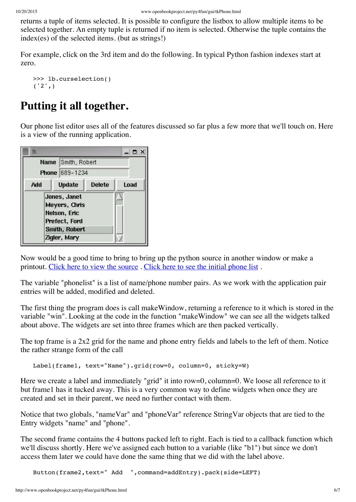returns a tuple of items selected. It is possible to configure the listbox to allow multiple items to be selected together. An empty tuple is returned if no item is selected. Otherwise the tuple contains the index(es) of the selected items. (but as strings!)

For example, click on the 3rd item and do the following. In typical Python fashion indexes start at zero.

```
>>> lb.curselection()
('2',)
```
## **Putting it all together.**

Our phone list editor uses all of the features discussed so far plus a few more that we'll touch on. Here is a view of the running application.



Now would be a good time to bring to bring up the python source in another window or make a printout. Click here to view the [source](http://www.openbookproject.net/py4fun/gui/tkPhone.py) . Click here to see the initial [phone](http://www.openbookproject.net/py4fun/gui/phones.py) list .

The variable "phonelist" is a list of name/phone number pairs. As we work with the application pair entries will be added, modified and deleted.

The first thing the program does is call makeWindow, returning a reference to it which is stored in the variable "win". Looking at the code in the function "makeWindow" we can see all the widgets talked about above. The widgets are set into three frames which are then packed vertically.

The top frame is a 2x2 grid for the name and phone entry fields and labels to the left of them. Notice the rather strange form of the call

```
Label(frame1, text="Name").grid(row=0, column=0, sticky=W)
```
Here we create a label and immediately "grid" it into row=0, column=0. We loose all reference to it but frame1 has it tucked away. This is a very common way to define widgets when once they are created and set in their parent, we need no further contact with them.

Notice that two globals, "nameVar" and "phoneVar" reference StringVar objects that are tied to the Entry widgets "name" and "phone".

The second frame contains the 4 buttons packed left to right. Each is tied to a callback function which we'll discuss shortly. Here we've assigned each button to a variable (like "b1") but since we don't access them later we could have done the same thing that we did with the label above.

Button(frame2,text=" Add ",command=addEntry).pack(side=LEFT)